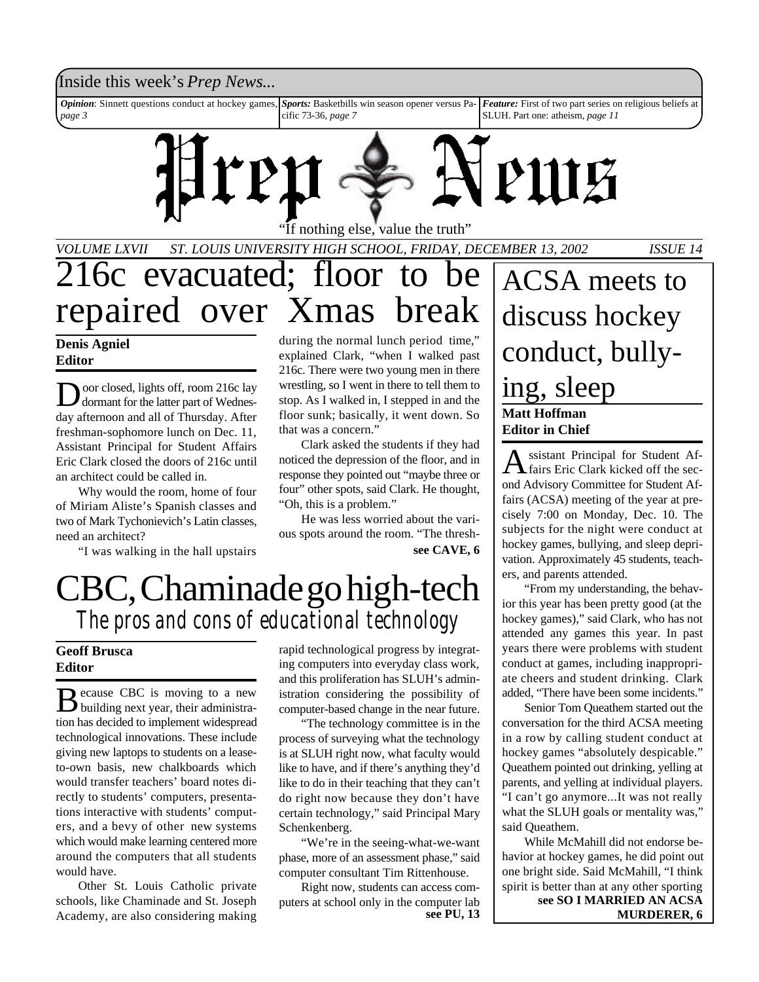#### Inside this week's *Prep News*...

*Opinion*: Sinnett questions conduct at hockey games, *page 3 Sports:* Basketbills win season opener versus Pacific 73-36, *page 7 Feature:* First of two part series on religious beliefs at SLUH. Part one: atheism, *page 11*



If nothing else, value the truth"

*VOLUME LXVII ST. LOUIS UNIVERSITY HIGH SCHOOL, FRIDAY, DECEMBER 13, 2002 ISSUE 14*

## 216c evacuated; floor to be repaired over Xmas break

#### **Denis Agniel Editor**

D oor closed, lights off, room 216c lay dormant for the latter part of Wednesday afternoon and all of Thursday. After freshman-sophomore lunch on Dec. 11, Assistant Principal for Student Affairs Eric Clark closed the doors of 216c until an architect could be called in.

Why would the room, home of four of Miriam Aliste's Spanish classes and two of Mark Tychonievich's Latin classes, need an architect?

"I was walking in the hall upstairs

during the normal lunch period time," explained Clark, "when I walked past 216c. There were two young men in there wrestling, so I went in there to tell them to stop. As I walked in, I stepped in and the floor sunk; basically, it went down. So that was a concern."

Clark asked the students if they had noticed the depression of the floor, and in response they pointed out "maybe three or four" other spots, said Clark. He thought, "Oh, this is a problem."

He was less worried about the various spots around the room. "The thresh**see CAVE, 6**

## CBC, Chaminade go high-tech *The pros and cons of educational technology*

#### **Geoff Brusca Editor**

Because CBC is moving to a new<br>building next year, their administraecause CBC is moving to a new tion has decided to implement widespread technological innovations. These include giving new laptops to students on a leaseto-own basis, new chalkboards which would transfer teachers' board notes directly to students' computers, presentations interactive with students' computers, and a bevy of other new systems which would make learning centered more around the computers that all students would have.

Other St. Louis Catholic private schools, like Chaminade and St. Joseph Academy, are also considering making

rapid technological progress by integrating computers into everyday class work, and this proliferation has SLUH's administration considering the possibility of computer-based change in the near future.

"The technology committee is in the process of surveying what the technology is at SLUH right now, what faculty would like to have, and if there's anything they'd like to do in their teaching that they can't do right now because they don't have certain technology," said Principal Mary Schenkenberg.

"We're in the seeing-what-we-want phase, more of an assessment phase," said computer consultant Tim Rittenhouse.

Right now, students can access computers at school only in the computer lab **see PU, 13**

**Matt Hoffman Editor in Chief** ACSA meets to discuss hockey conduct, bullying, sleep

A ssistant Principal for Student Af-<br>fairs Eric Clark kicked off the secssistant Principal for Student Afond Advisory Committee for Student Affairs (ACSA) meeting of the year at precisely 7:00 on Monday, Dec. 10. The subjects for the night were conduct at hockey games, bullying, and sleep deprivation. Approximately 45 students, teachers, and parents attended.

"From my understanding, the behavior this year has been pretty good (at the hockey games)," said Clark, who has not attended any games this year. In past years there were problems with student conduct at games, including inappropriate cheers and student drinking. Clark added, "There have been some incidents."

Senior Tom Queathem started out the conversation for the third ACSA meeting in a row by calling student conduct at hockey games "absolutely despicable." Queathem pointed out drinking, yelling at parents, and yelling at individual players. "I can't go anymore...It was not really what the SLUH goals or mentality was," said Queathem.

While McMahill did not endorse behavior at hockey games, he did point out one bright side. Said McMahill, "I think spirit is better than at any other sporting **see SO I MARRIED AN ACSA MURDERER, 6**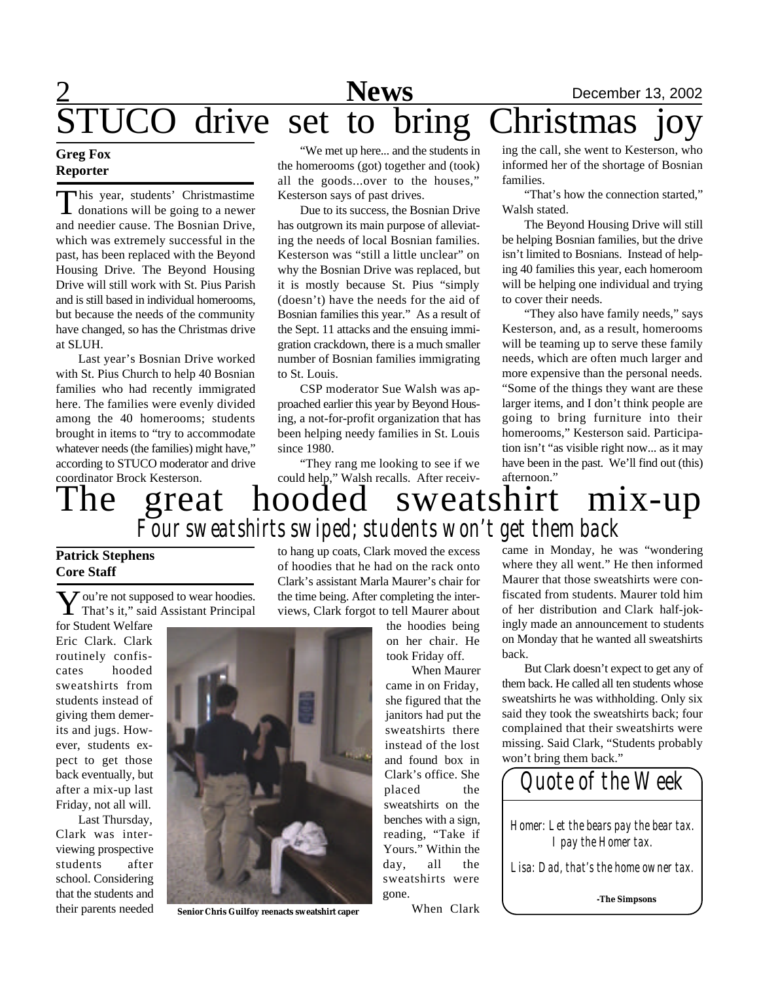

#### **Greg Fox Reporter**

This year, students' Christmastime<br>donations will be going to a newer<br>and needier cause. The Bosnian Drive, his year, students' Christmastime donations will be going to a newer which was extremely successful in the past, has been replaced with the Beyond Housing Drive. The Beyond Housing Drive will still work with St. Pius Parish and is still based in individual homerooms, but because the needs of the community have changed, so has the Christmas drive at SLUH.

Last year's Bosnian Drive worked with St. Pius Church to help 40 Bosnian families who had recently immigrated here. The families were evenly divided among the 40 homerooms; students brought in items to "try to accommodate whatever needs (the families) might have," according to STUCO moderator and drive coordinator Brock Kesterson.

"We met up here... and the students in the homerooms (got) together and (took) all the goods...over to the houses," Kesterson says of past drives.

Due to its success, the Bosnian Drive has outgrown its main purpose of alleviating the needs of local Bosnian families. Kesterson was "still a little unclear" on why the Bosnian Drive was replaced, but it is mostly because St. Pius "simply (doesn't) have the needs for the aid of Bosnian families this year." As a result of the Sept. 11 attacks and the ensuing immigration crackdown, there is a much smaller number of Bosnian families immigrating to St. Louis.

CSP moderator Sue Walsh was approached earlier this year by Beyond Housing, a not-for-profit organization that has been helping needy families in St. Louis since 1980.

"They rang me looking to see if we

ing the call, she went to Kesterson, who informed her of the shortage of Bosnian families.

"That's how the connection started," Walsh stated.

The Beyond Housing Drive will still be helping Bosnian families, but the drive isn't limited to Bosnians. Instead of helping 40 families this year, each homeroom will be helping one individual and trying to cover their needs.

"They also have family needs," says Kesterson, and, as a result, homerooms will be teaming up to serve these family needs, which are often much larger and more expensive than the personal needs. "Some of the things they want are these larger items, and I don't think people are going to bring furniture into their homerooms," Kesterson said. Participation isn't "as visible right now... as it may have been in the past. We'll find out (this) afternoon."

### could help," Walsh recalls. After receiv-<br> $\text{model}$  SWeatshift The great hooded sweatshirt mix-up *Four sweatshirts swiped; students won't get them back*

#### **Patrick Stephens Core Staff**

**Y** ou're not supposed to wear hoodies.<br>That's it," said Assistant Principal  $\boldsymbol{J}$  ou're not supposed to wear hoodies.

for Student Welfare Eric Clark. Clark routinely confiscates hooded sweatshirts from students instead of giving them demerits and jugs. However, students expect to get those back eventually, but after a mix-up last Friday, not all will.

Last Thursday, Clark was interviewing prospective students after school. Considering that the students and their parents needed

to hang up coats, Clark moved the excess of hoodies that he had on the rack onto Clark's assistant Marla Maurer's chair for the time being. After completing the interviews, Clark forgot to tell Maurer about

> the hoodies being on her chair. He took Friday off.

When Maurer came in on Friday, she figured that the janitors had put the sweatshirts there instead of the lost and found box in Clark's office. She placed the sweatshirts on the benches with a sign, reading, "Take if Yours." Within the day, all the sweatshirts were gone.

When Clark

came in Monday, he was "wondering where they all went." He then informed Maurer that those sweatshirts were confiscated from students. Maurer told him of her distribution and Clark half-jokingly made an announcement to students on Monday that he wanted all sweatshirts back.

But Clark doesn't expect to get any of them back. He called all ten students whose sweatshirts he was withholding. Only six said they took the sweatshirts back; four complained that their sweatshirts were missing. Said Clark, "Students probably won't bring them back."

*Quote of the Week Homer: Let the bears pay the bear tax. I pay the Homer tax. Lisa: Dad, that's the home owner tax.* **-The Simpsons**



**Senior Chris Guilfoy reenacts sweatshirt caper**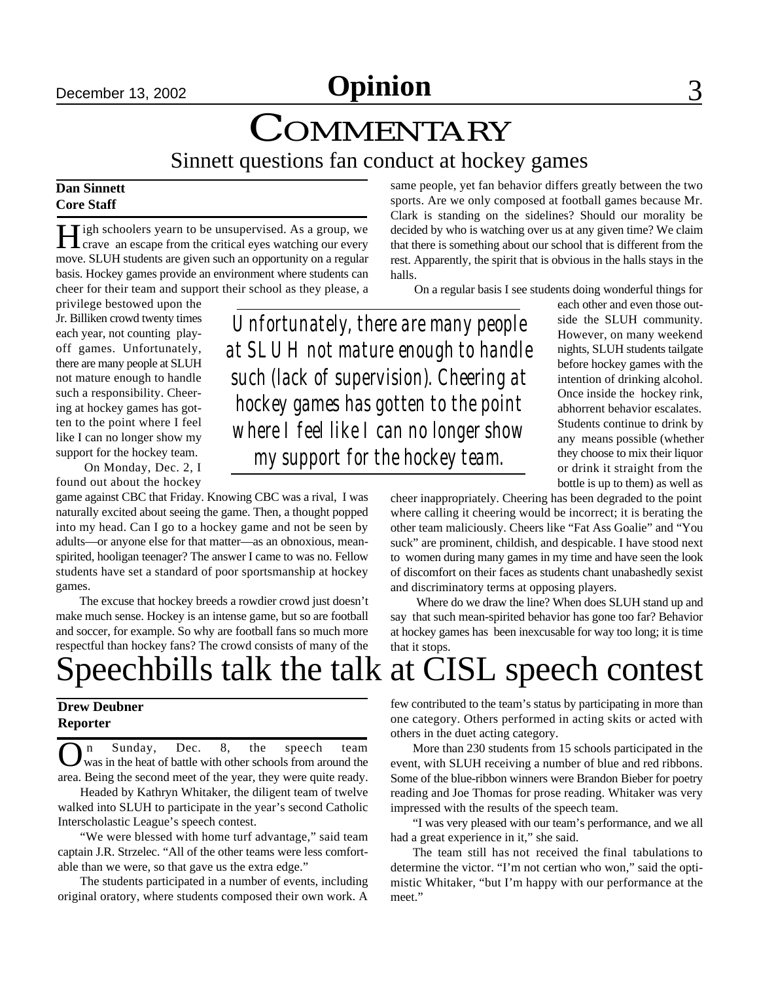**December 13, 2002 Opinion** 3

### **COMMENTARY** Sinnett questions fan conduct at hockey games

#### **Dan Sinnett Core Staff**

H igh schoolers yearn to be unsupervised. As a group, we<br>crave an escape from the critical eyes watching our every crave an escape from the critical eyes watching our every move. SLUH students are given such an opportunity on a regular basis. Hockey games provide an environment where students can cheer for their team and support their school as they please, a

privilege bestowed upon the Jr. Billiken crowd twenty times each year, not counting playoff games. Unfortunately, there are many people at SLUH not mature enough to handle such a responsibility. Cheering at hockey games has gotten to the point where I feel like I can no longer show my support for the hockey team.

 On Monday, Dec. 2, I found out about the hockey

game against CBC that Friday. Knowing CBC was a rival, I was naturally excited about seeing the game. Then, a thought popped into my head. Can I go to a hockey game and not be seen by adults—or anyone else for that matter—as an obnoxious, meanspirited, hooligan teenager? The answer I came to was no. Fellow students have set a standard of poor sportsmanship at hockey games.

 The excuse that hockey breeds a rowdier crowd just doesn't make much sense. Hockey is an intense game, but so are football and soccer, for example. So why are football fans so much more respectful than hockey fans? The crowd consists of many of the

same people, yet fan behavior differs greatly between the two sports. Are we only composed at football games because Mr. Clark is standing on the sidelines? Should our morality be decided by who is watching over us at any given time? We claim that there is something about our school that is different from the rest. Apparently, the spirit that is obvious in the halls stays in the halls.

On a regular basis I see students doing wonderful things for

*Unfortunately, there are many people at SLUH not mature enough to handle such (lack of supervision). Cheering at hockey games has gotten to the point where I feel like I can no longer show my support for the hockey team.*

each other and even those outside the SLUH community. However, on many weekend nights, SLUH students tailgate before hockey games with the intention of drinking alcohol. Once inside the hockey rink, abhorrent behavior escalates. Students continue to drink by any means possible (whether they choose to mix their liquor or drink it straight from the bottle is up to them) as well as

cheer inappropriately. Cheering has been degraded to the point where calling it cheering would be incorrect; it is berating the other team maliciously. Cheers like "Fat Ass Goalie" and "You suck" are prominent, childish, and despicable. I have stood next to women during many games in my time and have seen the look of discomfort on their faces as students chant unabashedly sexist and discriminatory terms at opposing players.

 Where do we draw the line? When does SLUH stand up and say that such mean-spirited behavior has gone too far? Behavior at hockey games has been inexcusable for way too long; it is time that it stops.

## Speechbills talk the talk at CISL speech contest

#### **Drew Deubner Reporter**

**O** n Sunday, Dec. 8, the speech team was in the heat of battle with other schools from around the area. Being the second meet of the year, they were quite ready. n Sunday, Dec. 8, the speech team was in the heat of battle with other schools from around the

Headed by Kathryn Whitaker, the diligent team of twelve walked into SLUH to participate in the year's second Catholic Interscholastic League's speech contest.

"We were blessed with home turf advantage," said team captain J.R. Strzelec. "All of the other teams were less comfortable than we were, so that gave us the extra edge."

The students participated in a number of events, including original oratory, where students composed their own work. A few contributed to the team's status by participating in more than one category. Others performed in acting skits or acted with others in the duet acting category.

More than 230 students from 15 schools participated in the event, with SLUH receiving a number of blue and red ribbons. Some of the blue-ribbon winners were Brandon Bieber for poetry reading and Joe Thomas for prose reading. Whitaker was very impressed with the results of the speech team.

"I was very pleased with our team's performance, and we all had a great experience in it," she said.

The team still has not received the final tabulations to determine the victor. "I'm not certian who won," said the optimistic Whitaker, "but I'm happy with our performance at the meet."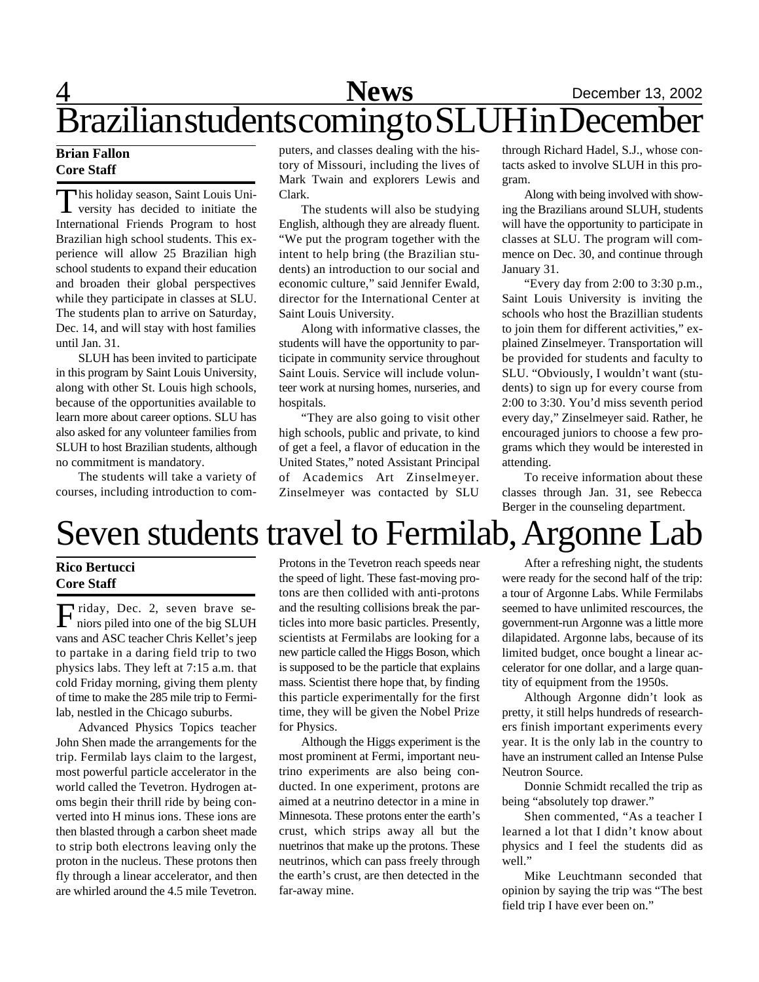## 4 **News** December 13, 2002 Brazilian students coming to SLUH in December

#### **Brian Fallon Core Staff**

This holiday season, Saint Louis University has decided to initiate the his holiday season, Saint Louis Uni-International Friends Program to host Brazilian high school students. This experience will allow 25 Brazilian high school students to expand their education and broaden their global perspectives while they participate in classes at SLU. The students plan to arrive on Saturday, Dec. 14, and will stay with host families until Jan. 31.

SLUH has been invited to participate in this program by Saint Louis University, along with other St. Louis high schools, because of the opportunities available to learn more about career options. SLU has also asked for any volunteer families from SLUH to host Brazilian students, although no commitment is mandatory.

The students will take a variety of courses, including introduction to computers, and classes dealing with the history of Missouri, including the lives of Mark Twain and explorers Lewis and Clark.

The students will also be studying English, although they are already fluent. "We put the program together with the intent to help bring (the Brazilian students) an introduction to our social and economic culture," said Jennifer Ewald, director for the International Center at Saint Louis University.

Along with informative classes, the students will have the opportunity to participate in community service throughout Saint Louis. Service will include volunteer work at nursing homes, nurseries, and hospitals.

"They are also going to visit other high schools, public and private, to kind of get a feel, a flavor of education in the United States," noted Assistant Principal of Academics Art Zinselmeyer. Zinselmeyer was contacted by SLU

through Richard Hadel, S.J., whose contacts asked to involve SLUH in this program.

Along with being involved with showing the Brazilians around SLUH, students will have the opportunity to participate in classes at SLU. The program will commence on Dec. 30, and continue through January 31.

"Every day from 2:00 to 3:30 p.m., Saint Louis University is inviting the schools who host the Brazillian students to join them for different activities," explained Zinselmeyer. Transportation will be provided for students and faculty to SLU. "Obviously, I wouldn't want (students) to sign up for every course from 2:00 to 3:30. You'd miss seventh period every day," Zinselmeyer said. Rather, he encouraged juniors to choose a few programs which they would be interested in attending.

To receive information about these classes through Jan. 31, see Rebecca Berger in the counseling department.

## Seven students travel to Fermilab, Argonne Lab

#### **Rico Bertucci Core Staff**

Friday, Dec. 2, seven brave se-<br>miors piled into one of the big SLUH niors piled into one of the big SLUH vans and ASC teacher Chris Kellet's jeep to partake in a daring field trip to two physics labs. They left at 7:15 a.m. that cold Friday morning, giving them plenty of time to make the 285 mile trip to Fermilab, nestled in the Chicago suburbs.

Advanced Physics Topics teacher John Shen made the arrangements for the trip. Fermilab lays claim to the largest, most powerful particle accelerator in the world called the Tevetron. Hydrogen atoms begin their thrill ride by being converted into H minus ions. These ions are then blasted through a carbon sheet made to strip both electrons leaving only the proton in the nucleus. These protons then fly through a linear accelerator, and then are whirled around the 4.5 mile Tevetron.

Protons in the Tevetron reach speeds near the speed of light. These fast-moving protons are then collided with anti-protons and the resulting collisions break the particles into more basic particles. Presently, scientists at Fermilabs are looking for a new particle called the Higgs Boson, which is supposed to be the particle that explains mass. Scientist there hope that, by finding this particle experimentally for the first time, they will be given the Nobel Prize for Physics.

Although the Higgs experiment is the most prominent at Fermi, important neutrino experiments are also being conducted. In one experiment, protons are aimed at a neutrino detector in a mine in Minnesota. These protons enter the earth's crust, which strips away all but the nuetrinos that make up the protons. These neutrinos, which can pass freely through the earth's crust, are then detected in the far-away mine.

After a refreshing night, the students were ready for the second half of the trip: a tour of Argonne Labs. While Fermilabs seemed to have unlimited rescources, the government-run Argonne was a little more dilapidated. Argonne labs, because of its limited budget, once bought a linear accelerator for one dollar, and a large quantity of equipment from the 1950s.

Although Argonne didn't look as pretty, it still helps hundreds of researchers finish important experiments every year. It is the only lab in the country to have an instrument called an Intense Pulse Neutron Source.

Donnie Schmidt recalled the trip as being "absolutely top drawer."

Shen commented, "As a teacher I learned a lot that I didn't know about physics and I feel the students did as well."

Mike Leuchtmann seconded that opinion by saying the trip was "The best field trip I have ever been on."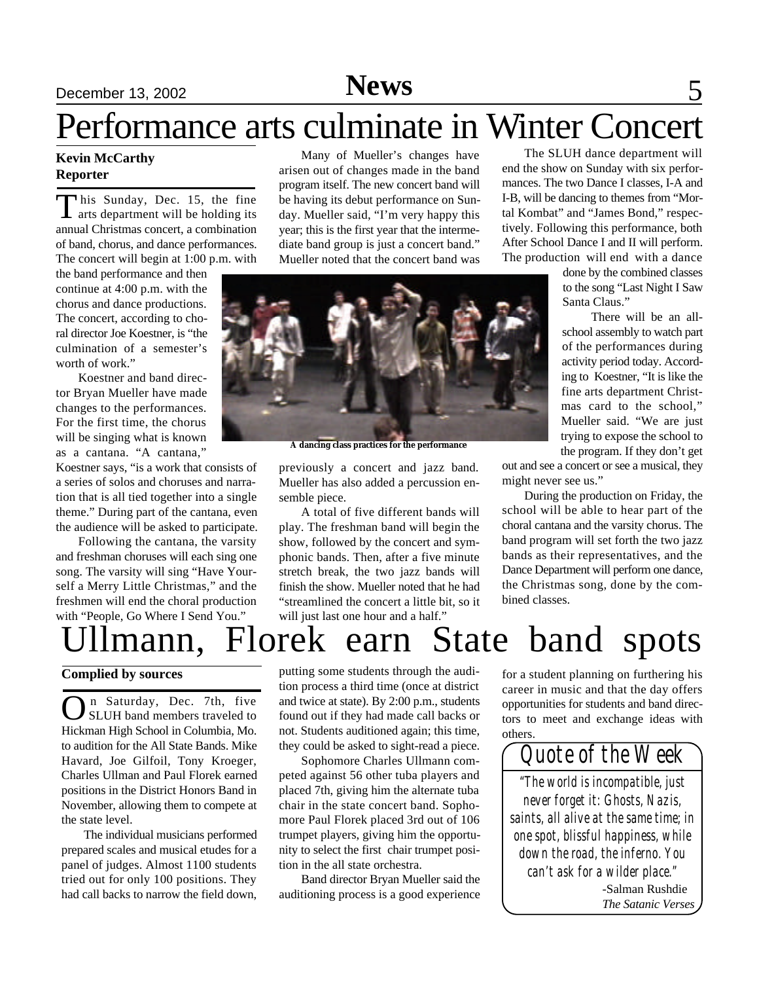### December 13, 2002 **News** 5

# Performance arts culminate in Winter Concert

#### **Kevin McCarthy Reporter**

This Sunday, Dec. 15, the fine<br>arts department will be holding its his Sunday, Dec. 15, the fine annual Christmas concert, a combination of band, chorus, and dance performances. The concert will begin at 1:00 p.m. with

the band performance and then continue at 4:00 p.m. with the chorus and dance productions. The concert, according to choral director Joe Koestner, is "the culmination of a semester's worth of work."

Koestner and band director Bryan Mueller have made changes to the performances. For the first time, the chorus will be singing what is known as a cantana. "A cantana,"

Koestner says, "is a work that consists of a series of solos and choruses and narration that is all tied together into a single theme." During part of the cantana, even the audience will be asked to participate.

Following the cantana, the varsity and freshman choruses will each sing one song. The varsity will sing "Have Yourself a Merry Little Christmas," and the freshmen will end the choral production with "People, Go Where I Send You."

Many of Mueller's changes have arisen out of changes made in the band program itself. The new concert band will be having its debut performance on Sunday. Mueller said, "I'm very happy this year; this is the first year that the intermediate band group is just a concert band." Mueller noted that the concert band was

**A dancing class practices for the performance**

previously a concert and jazz band. Mueller has also added a percussion ensemble piece.

A total of five different bands will play. The freshman band will begin the show, followed by the concert and symphonic bands. Then, after a five minute stretch break, the two jazz bands will finish the show. Mueller noted that he had "streamlined the concert a little bit, so it will just last one hour and a half."

The SLUH dance department will end the show on Sunday with six performances. The two Dance I classes, I-A and I-B, will be dancing to themes from "Mortal Kombat" and "James Bond," respectively. Following this performance, both After School Dance I and II will perform. The production will end with a dance

> done by the combined classes to the song "Last Night I Saw Santa Claus."

There will be an allschool assembly to watch part of the performances during activity period today. According to Koestner, "It is like the fine arts department Christmas card to the school," Mueller said. "We are just trying to expose the school to the program. If they don't get

out and see a concert or see a musical, they might never see us."

During the production on Friday, the school will be able to hear part of the choral cantana and the varsity chorus. The band program will set forth the two jazz bands as their representatives, and the Dance Department will perform one dance, the Christmas song, done by the combined classes.

# Ullmann, Florek earn State band spots

#### **Complied by sources**

**O**n Saturday, Dec. 7th, five<br>SLUH band members traveled to<br>Hickman High School in Columbia, Mo. n Saturday, Dec. 7th, five SLUH band members traveled to to audition for the All State Bands. Mike Havard, Joe Gilfoil, Tony Kroeger, Charles Ullman and Paul Florek earned positions in the District Honors Band in November, allowing them to compete at the state level.

The individual musicians performed prepared scales and musical etudes for a panel of judges. Almost 1100 students tried out for only 100 positions. They had call backs to narrow the field down,

putting some students through the audition process a third time (once at district and twice at state). By 2:00 p.m., students found out if they had made call backs or not. Students auditioned again; this time, they could be asked to sight-read a piece.

Sophomore Charles Ullmann competed against 56 other tuba players and placed 7th, giving him the alternate tuba chair in the state concert band. Sophomore Paul Florek placed 3rd out of 106 trumpet players, giving him the opportunity to select the first chair trumpet position in the all state orchestra.

Band director Bryan Mueller said the auditioning process is a good experience

for a student planning on furthering his career in music and that the day offers opportunities for students and band directors to meet and exchange ideas with others.

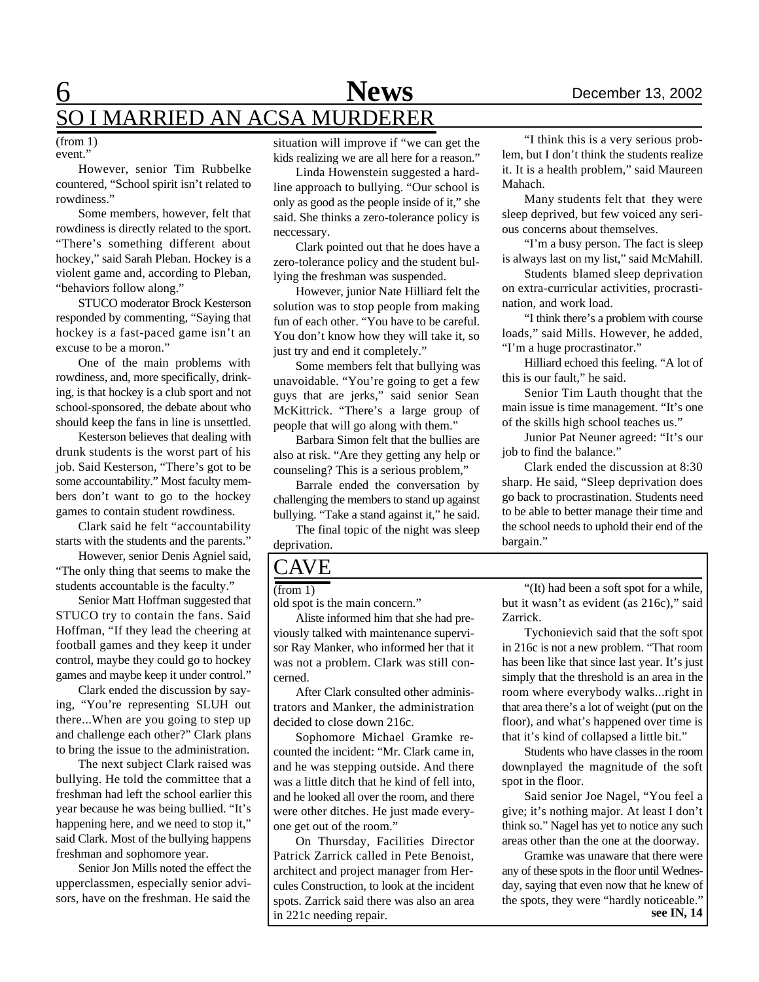### 6 **News** December 13, 2002 SO I MARRIED AN ACSA MURDERER

#### event." (from 1)

However, senior Tim Rubbelke countered, "School spirit isn't related to rowdiness."

Some members, however, felt that rowdiness is directly related to the sport. "There's something different about hockey," said Sarah Pleban. Hockey is a violent game and, according to Pleban, "behaviors follow along."

STUCO moderator Brock Kesterson responded by commenting, "Saying that hockey is a fast-paced game isn't an excuse to be a moron."

One of the main problems with rowdiness, and, more specifically, drinking, is that hockey is a club sport and not school-sponsored, the debate about who should keep the fans in line is unsettled.

Kesterson believes that dealing with drunk students is the worst part of his job. Said Kesterson, "There's got to be some accountability." Most faculty members don't want to go to the hockey games to contain student rowdiness.

Clark said he felt "accountability starts with the students and the parents."

However, senior Denis Agniel said, "The only thing that seems to make the students accountable is the faculty."

Senior Matt Hoffman suggested that STUCO try to contain the fans. Said Hoffman, "If they lead the cheering at football games and they keep it under control, maybe they could go to hockey games and maybe keep it under control."

Clark ended the discussion by saying, "You're representing SLUH out there...When are you going to step up and challenge each other?" Clark plans to bring the issue to the administration.

The next subject Clark raised was bullying. He told the committee that a freshman had left the school earlier this year because he was being bullied. "It's happening here, and we need to stop it," said Clark. Most of the bullying happens freshman and sophomore year.

Senior Jon Mills noted the effect the upperclassmen, especially senior advisors, have on the freshman. He said the

situation will improve if "we can get the kids realizing we are all here for a reason."

Linda Howenstein suggested a hardline approach to bullying. "Our school is only as good as the people inside of it," she said. She thinks a zero-tolerance policy is neccessary.

Clark pointed out that he does have a zero-tolerance policy and the student bullying the freshman was suspended.

However, junior Nate Hilliard felt the solution was to stop people from making fun of each other. "You have to be careful. You don't know how they will take it, so just try and end it completely."

Some members felt that bullying was unavoidable. "You're going to get a few guys that are jerks," said senior Sean McKittrick. "There's a large group of people that will go along with them."

Barbara Simon felt that the bullies are also at risk. "Are they getting any help or counseling? This is a serious problem,"

Barrale ended the conversation by challenging the members to stand up against bullying. "Take a stand against it," he said.

The final topic of the night was sleep deprivation.

### CAVE

(from 1)

old spot is the main concern."

Aliste informed him that she had previously talked with maintenance supervisor Ray Manker, who informed her that it was not a problem. Clark was still concerned.

After Clark consulted other administrators and Manker, the administration decided to close down 216c.

Sophomore Michael Gramke recounted the incident: "Mr. Clark came in, and he was stepping outside. And there was a little ditch that he kind of fell into, and he looked all over the room, and there were other ditches. He just made everyone get out of the room."

On Thursday, Facilities Director Patrick Zarrick called in Pete Benoist, architect and project manager from Hercules Construction, to look at the incident spots. Zarrick said there was also an area in 221c needing repair.

"I think this is a very serious problem, but I don't think the students realize it. It is a health problem," said Maureen Mahach.

Many students felt that they were sleep deprived, but few voiced any serious concerns about themselves.

"I'm a busy person. The fact is sleep is always last on my list," said McMahill.

Students blamed sleep deprivation on extra-curricular activities, procrastination, and work load.

"I think there's a problem with course loads," said Mills. However, he added, "I'm a huge procrastinator."

Hilliard echoed this feeling. "A lot of this is our fault," he said.

Senior Tim Lauth thought that the main issue is time management. "It's one of the skills high school teaches us."

Junior Pat Neuner agreed: "It's our job to find the balance."

Clark ended the discussion at 8:30 sharp. He said, "Sleep deprivation does go back to procrastination. Students need to be able to better manage their time and the school needs to uphold their end of the bargain."

"(It) had been a soft spot for a while, but it wasn't as evident (as 216c)," said Zarrick.

Tychonievich said that the soft spot in 216c is not a new problem. "That room has been like that since last year. It's just simply that the threshold is an area in the room where everybody walks...right in that area there's a lot of weight (put on the floor), and what's happened over time is that it's kind of collapsed a little bit."

Students who have classes in the room downplayed the magnitude of the soft spot in the floor.

Said senior Joe Nagel, "You feel a give; it's nothing major. At least I don't think so." Nagel has yet to notice any such areas other than the one at the doorway.

Gramke was unaware that there were any of these spots in the floor until Wednesday, saying that even now that he knew of the spots, they were "hardly noticeable." **see IN, 14**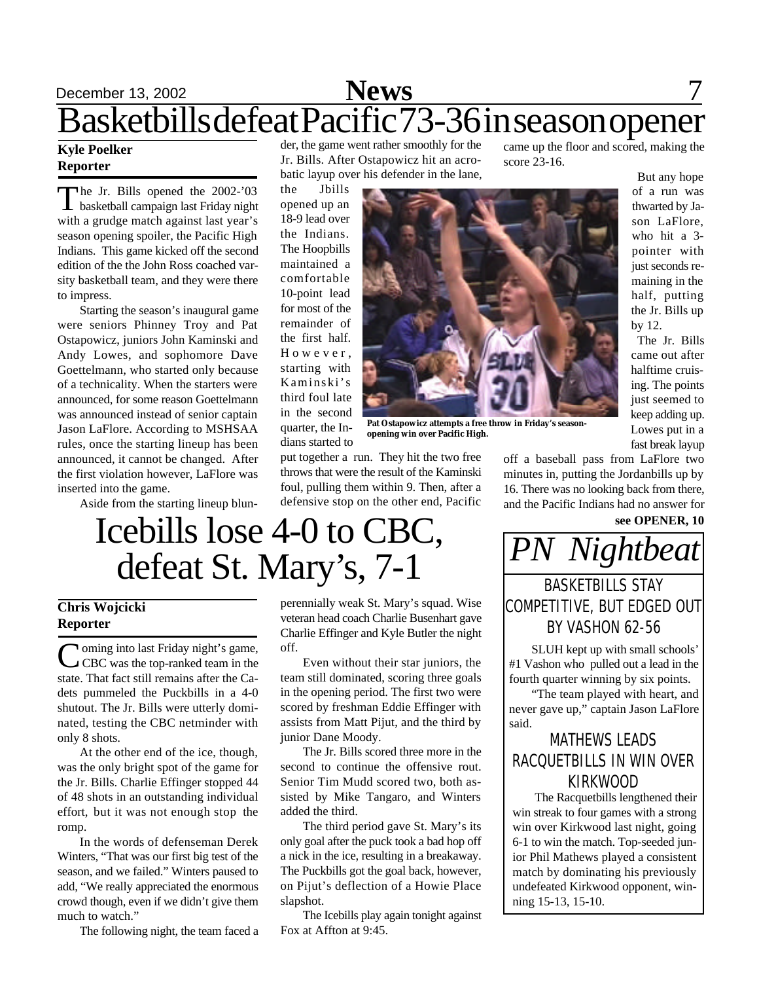## December 13, 2002 **News** 7 Basketbills defeat Pacific 73-36 in season opener

#### **Kyle Poelker Reporter**

The Jr. Bills opened the 2002-'03<br>basketball campaign last Friday night  $\perp$  basketball campaign last Friday night with a grudge match against last year's season opening spoiler, the Pacific High Indians. This game kicked off the second edition of the the John Ross coached varsity basketball team, and they were there to impress.

Starting the season's inaugural game were seniors Phinney Troy and Pat Ostapowicz, juniors John Kaminski and Andy Lowes, and sophomore Dave Goettelmann, who started only because of a technicality. When the starters were announced, for some reason Goettelmann was announced instead of senior captain Jason LaFlore. According to MSHSAA rules, once the starting lineup has been announced, it cannot be changed. After the first violation however, LaFlore was inserted into the game.

Aside from the starting lineup blun-

der, the game went rather smoothly for the Jr. Bills. After Ostapowicz hit an acrobatic layup over his defender in the lane,

the Jbills opened up an 18-9 lead over the Indians. The Hoopbills maintained a comfortable 10-point lead for most of the remainder of the first half. H o w e v e r , starting with Kaminski's third foul late in the second quarter, the Indians started to



**Pat Ostapowicz attempts a free throw in Friday's seasonopening win over Pacific High.**

put together a run. They hit the two free throws that were the result of the Kaminski foul, pulling them within 9. Then, after a defensive stop on the other end, Pacific off a baseball pass from LaFlore two minutes in, putting the Jordanbills up by 16. There was no looking back from there, and the Pacific Indians had no answer for

came up the floor and scored, making the

But any hope of a run was thwarted by Jason LaFlore, who hit a 3 pointer with just seconds remaining in the half, putting the Jr. Bills up

by 12.

The Jr. Bills came out after halftime cruising. The points just seemed to keep adding up. Lowes put in a fast break layup

score 23-16.

# Icebills lose 4-0 to CBC, See OPENER, 10 defeat St. Mary's, 7-1

#### **Chris Wojcicki Reporter**

Coming into last Friday night's game,<br>CEC was the top-ranked team in the CBC was the top-ranked team in the state. That fact still remains after the Cadets pummeled the Puckbills in a 4-0 shutout. The Jr. Bills were utterly dominated, testing the CBC netminder with only 8 shots.

At the other end of the ice, though, was the only bright spot of the game for the Jr. Bills. Charlie Effinger stopped 44 of 48 shots in an outstanding individual effort, but it was not enough stop the romp.

In the words of defenseman Derek Winters, "That was our first big test of the season, and we failed." Winters paused to add, "We really appreciated the enormous crowd though, even if we didn't give them much to watch."

The following night, the team faced a

perennially weak St. Mary's squad. Wise veteran head coach Charlie Busenhart gave Charlie Effinger and Kyle Butler the night off.

Even without their star juniors, the team still dominated, scoring three goals in the opening period. The first two were scored by freshman Eddie Effinger with assists from Matt Pijut, and the third by junior Dane Moody.

The Jr. Bills scored three more in the second to continue the offensive rout. Senior Tim Mudd scored two, both assisted by Mike Tangaro, and Winters added the third.

The third period gave St. Mary's its only goal after the puck took a bad hop off a nick in the ice, resulting in a breakaway. The Puckbills got the goal back, however, on Pijut's deflection of a Howie Place slapshot.

The Icebills play again tonight against Fox at Affton at 9:45.



### BY VASHON 62-56

SLUH kept up with small schools' #1 Vashon who pulled out a lead in the fourth quarter winning by six points.

"The team played with heart, and never gave up," captain Jason LaFlore said.

### MATHEWS LEADS RACQUETBILLS IN WIN OVER KIRKWOOD

The Racquetbills lengthened their win streak to four games with a strong win over Kirkwood last night, going 6-1 to win the match. Top-seeded junior Phil Mathews played a consistent match by dominating his previously undefeated Kirkwood opponent, winning 15-13, 15-10.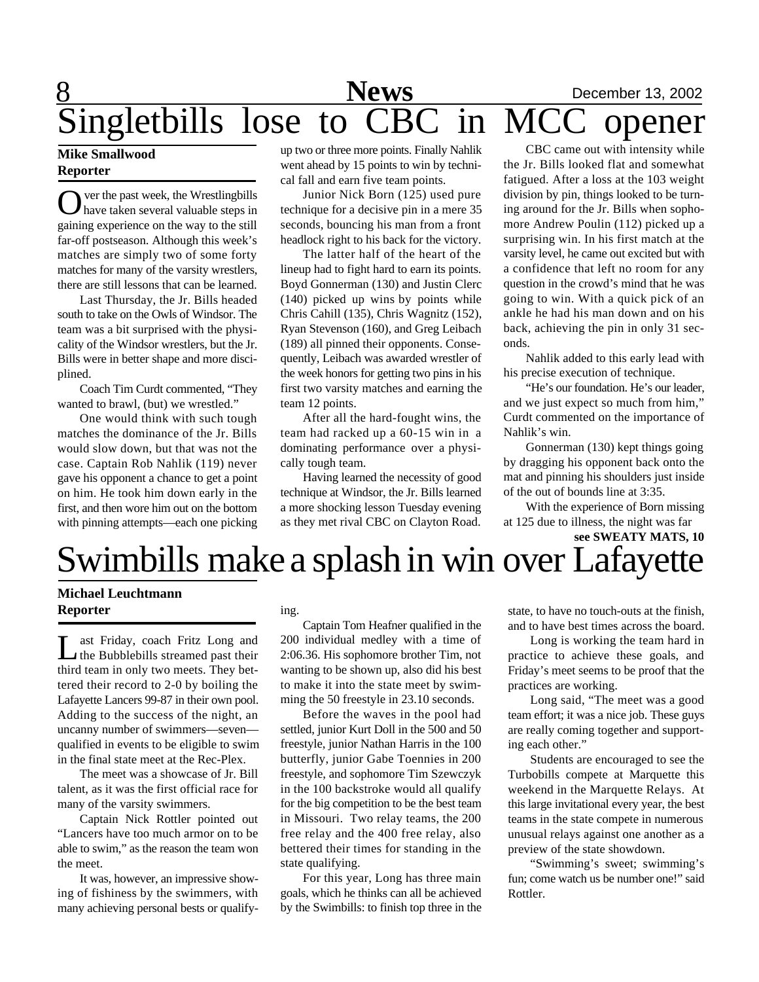## 8 **News** December 13, 2002 Singletbills lose to CBC in MCC opener

#### **Mike Smallwood Reporter**

O ver the past week, the Wrestlingbills<br>have taken several valuable steps in ver the past week, the Wrestlingbills gaining experience on the way to the still far-off postseason. Although this week's matches are simply two of some forty matches for many of the varsity wrestlers, there are still lessons that can be learned.

Last Thursday, the Jr. Bills headed south to take on the Owls of Windsor. The team was a bit surprised with the physicality of the Windsor wrestlers, but the Jr. Bills were in better shape and more disciplined.

Coach Tim Curdt commented, "They wanted to brawl, (but) we wrestled."

One would think with such tough matches the dominance of the Jr. Bills would slow down, but that was not the case. Captain Rob Nahlik (119) never gave his opponent a chance to get a point on him. He took him down early in the first, and then wore him out on the bottom with pinning attempts—each one picking up two or three more points. Finally Nahlik went ahead by 15 points to win by technical fall and earn five team points.

Junior Nick Born (125) used pure technique for a decisive pin in a mere 35 seconds, bouncing his man from a front headlock right to his back for the victory.

The latter half of the heart of the lineup had to fight hard to earn its points. Boyd Gonnerman (130) and Justin Clerc (140) picked up wins by points while Chris Cahill (135), Chris Wagnitz (152), Ryan Stevenson (160), and Greg Leibach (189) all pinned their opponents. Consequently, Leibach was awarded wrestler of the week honors for getting two pins in his first two varsity matches and earning the team 12 points.

After all the hard-fought wins, the team had racked up a 60-15 win in a dominating performance over a physically tough team.

Having learned the necessity of good technique at Windsor, the Jr. Bills learned a more shocking lesson Tuesday evening as they met rival CBC on Clayton Road.

CBC came out with intensity while the Jr. Bills looked flat and somewhat fatigued. After a loss at the 103 weight division by pin, things looked to be turning around for the Jr. Bills when sophomore Andrew Poulin (112) picked up a surprising win. In his first match at the varsity level, he came out excited but with a confidence that left no room for any question in the crowd's mind that he was going to win. With a quick pick of an ankle he had his man down and on his back, achieving the pin in only 31 seconds.

Nahlik added to this early lead with his precise execution of technique.

"He's our foundation. He's our leader, and we just expect so much from him," Curdt commented on the importance of Nahlik's win.

Gonnerman (130) kept things going by dragging his opponent back onto the mat and pinning his shoulders just inside of the out of bounds line at 3:35.

With the experience of Born missing at 125 due to illness, the night was far

**see SWEATY MATS, 10**

# Swimbills make a splash in win over Lafayette

#### **Michael Leuchtmann Reporter**

Last Friday, coach Fritz Long and<br>
the Bubblebills streamed past their ast Friday, coach Fritz Long and third team in only two meets. They bettered their record to 2-0 by boiling the Lafayette Lancers 99-87 in their own pool. Adding to the success of the night, an uncanny number of swimmers—seven qualified in events to be eligible to swim in the final state meet at the Rec-Plex.

The meet was a showcase of Jr. Bill talent, as it was the first official race for many of the varsity swimmers.

Captain Nick Rottler pointed out "Lancers have too much armor on to be able to swim," as the reason the team won the meet.

It was, however, an impressive showing of fishiness by the swimmers, with many achieving personal bests or qualifying.

Captain Tom Heafner qualified in the 200 individual medley with a time of 2:06.36. His sophomore brother Tim, not wanting to be shown up, also did his best to make it into the state meet by swimming the 50 freestyle in 23.10 seconds.

Before the waves in the pool had settled, junior Kurt Doll in the 500 and 50 freestyle, junior Nathan Harris in the 100 butterfly, junior Gabe Toennies in 200 freestyle, and sophomore Tim Szewczyk in the 100 backstroke would all qualify for the big competition to be the best team in Missouri. Two relay teams, the 200 free relay and the 400 free relay, also bettered their times for standing in the state qualifying.

For this year, Long has three main goals, which he thinks can all be achieved by the Swimbills: to finish top three in the

state, to have no touch-outs at the finish, and to have best times across the board.

Long is working the team hard in practice to achieve these goals, and Friday's meet seems to be proof that the practices are working.

Long said, "The meet was a good team effort; it was a nice job. These guys are really coming together and supporting each other."

Students are encouraged to see the Turbobills compete at Marquette this weekend in the Marquette Relays. At this large invitational every year, the best teams in the state compete in numerous unusual relays against one another as a preview of the state showdown.

"Swimming's sweet; swimming's fun; come watch us be number one!" said Rottler.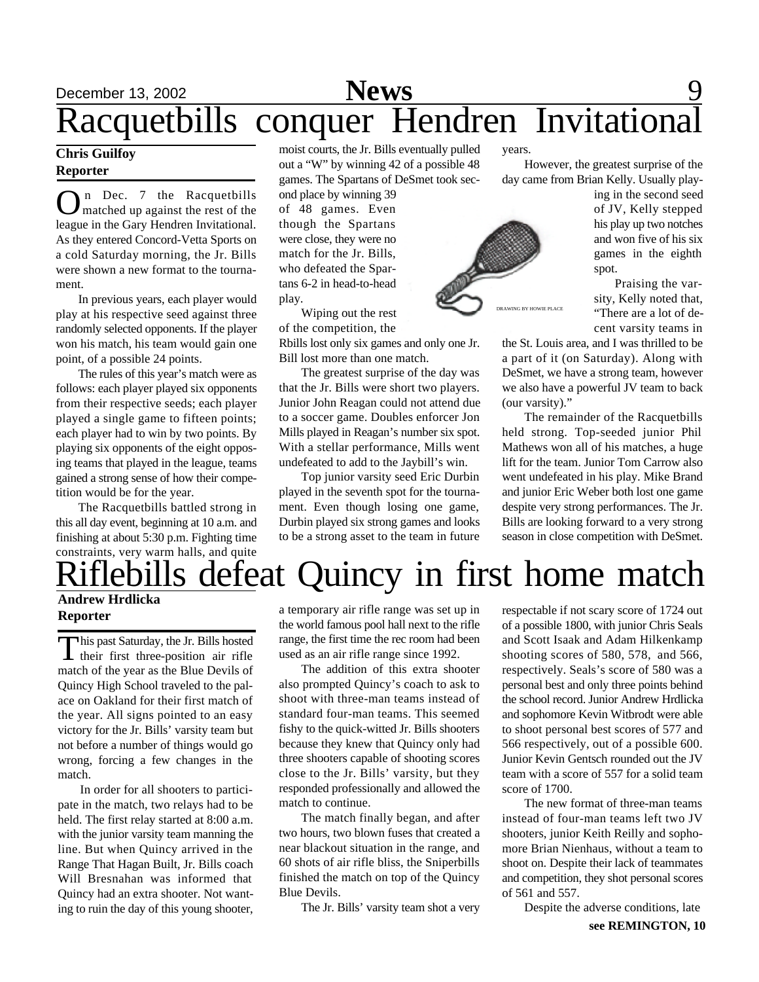## December 13, 2002 **News** 9 Racquetbills conquer Hendren Invitational

#### **Chris Guilfoy Reporter**

**O** n Dec. 7 the Racquetbills<br>league in the Gary Hendren Invitational. n Dec. 7 the Racquetbills matched up against the rest of the As they entered Concord-Vetta Sports on a cold Saturday morning, the Jr. Bills were shown a new format to the tournament.

In previous years, each player would play at his respective seed against three randomly selected opponents. If the player won his match, his team would gain one point, of a possible 24 points.

The rules of this year's match were as follows: each player played six opponents from their respective seeds; each player played a single game to fifteen points; each player had to win by two points. By playing six opponents of the eight opposing teams that played in the league, teams gained a strong sense of how their competition would be for the year.

The Racquetbills battled strong in this all day event, beginning at 10 a.m. and finishing at about 5:30 p.m. Fighting time constraints, very warm halls, and quite

moist courts, the Jr. Bills eventually pulled out a "W" by winning 42 of a possible 48 games. The Spartans of DeSmet took sec-

ond place by winning 39 of 48 games. Even though the Spartans were close, they were no match for the Jr. Bills, who defeated the Spartans 6-2 in head-to-head play.

Wiping out the rest of the competition, the

Rbills lost only six games and only one Jr. Bill lost more than one match.

The greatest surprise of the day was that the Jr. Bills were short two players. Junior John Reagan could not attend due to a soccer game. Doubles enforcer Jon Mills played in Reagan's number six spot. With a stellar performance, Mills went undefeated to add to the Jaybill's win.

Top junior varsity seed Eric Durbin played in the seventh spot for the tournament. Even though losing one game, Durbin played six strong games and looks to be a strong asset to the team in future

years.

However, the greatest surprise of the day came from Brian Kelly. Usually play-

ing in the second seed of JV, Kelly stepped his play up two notches and won five of his six games in the eighth spot.

 Praising the varsity, Kelly noted that, "There are a lot of decent varsity teams in

the St. Louis area, and I was thrilled to be a part of it (on Saturday). Along with DeSmet, we have a strong team, however we also have a powerful JV team to back (our varsity)."

The remainder of the Racquetbills held strong. Top-seeded junior Phil Mathews won all of his matches, a huge lift for the team. Junior Tom Carrow also went undefeated in his play. Mike Brand and junior Eric Weber both lost one game despite very strong performances. The Jr. Bills are looking forward to a very strong season in close competition with DeSmet.



lebills defeat Quincy in first home match

#### **Andrew Hrdlicka Reporter**

This past Saturday, the Jr. Bills hosted<br>their first three-position air rifle his past Saturday, the Jr. Bills hosted match of the year as the Blue Devils of Quincy High School traveled to the palace on Oakland for their first match of the year. All signs pointed to an easy victory for the Jr. Bills' varsity team but not before a number of things would go wrong, forcing a few changes in the match.

In order for all shooters to participate in the match, two relays had to be held. The first relay started at 8:00 a.m. with the junior varsity team manning the line. But when Quincy arrived in the Range That Hagan Built, Jr. Bills coach Will Bresnahan was informed that Quincy had an extra shooter. Not wanting to ruin the day of this young shooter, a temporary air rifle range was set up in the world famous pool hall next to the rifle range, the first time the rec room had been used as an air rifle range since 1992.

The addition of this extra shooter also prompted Quincy's coach to ask to shoot with three-man teams instead of standard four-man teams. This seemed fishy to the quick-witted Jr. Bills shooters because they knew that Quincy only had three shooters capable of shooting scores close to the Jr. Bills' varsity, but they responded professionally and allowed the match to continue.

The match finally began, and after two hours, two blown fuses that created a near blackout situation in the range, and 60 shots of air rifle bliss, the Sniperbills finished the match on top of the Quincy Blue Devils.

The Jr. Bills' varsity team shot a very

respectable if not scary score of 1724 out of a possible 1800, with junior Chris Seals and Scott Isaak and Adam Hilkenkamp shooting scores of 580, 578, and 566, respectively. Seals's score of 580 was a personal best and only three points behind the school record. Junior Andrew Hrdlicka and sophomore Kevin Witbrodt were able to shoot personal best scores of 577 and 566 respectively, out of a possible 600. Junior Kevin Gentsch rounded out the JV team with a score of 557 for a solid team score of 1700.

The new format of three-man teams instead of four-man teams left two JV shooters, junior Keith Reilly and sophomore Brian Nienhaus, without a team to shoot on. Despite their lack of teammates and competition, they shot personal scores of 561 and 557.

**see REMINGTON, 10** Despite the adverse conditions, late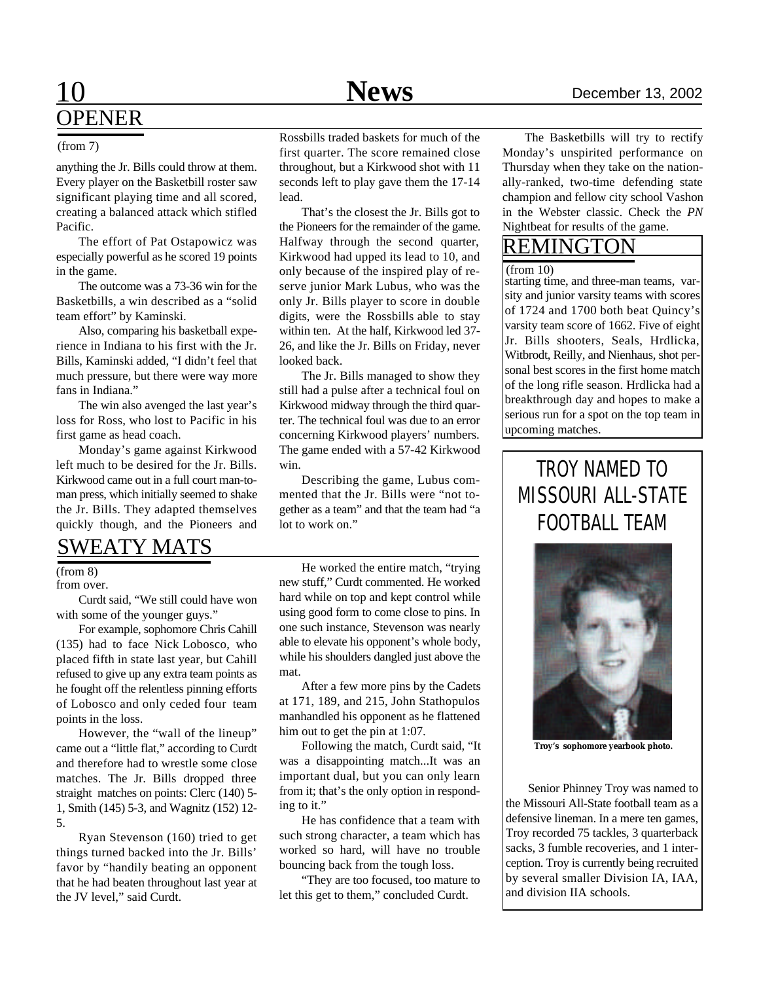### 10 **News** December 13, 2002 OPENER

anything the Jr. Bills could throw at them. Every player on the Basketbill roster saw significant playing time and all scored, creating a balanced attack which stifled Pacific.

The effort of Pat Ostapowicz was especially powerful as he scored 19 points in the game.

The outcome was a 73-36 win for the Basketbills, a win described as a "solid team effort" by Kaminski.

Also, comparing his basketball experience in Indiana to his first with the Jr. Bills, Kaminski added, "I didn't feel that much pressure, but there were way more fans in Indiana."

The win also avenged the last year's loss for Ross, who lost to Pacific in his first game as head coach.

Monday's game against Kirkwood left much to be desired for the Jr. Bills. Kirkwood came out in a full court man-toman press, which initially seemed to shake the Jr. Bills. They adapted themselves quickly though, and the Pioneers and

### SWEATY MATS

(from 8)

from over.

Curdt said, "We still could have won with some of the younger guys."

For example, sophomore Chris Cahill (135) had to face Nick Lobosco, who placed fifth in state last year, but Cahill refused to give up any extra team points as he fought off the relentless pinning efforts of Lobosco and only ceded four team points in the loss.

However, the "wall of the lineup" came out a "little flat," according to Curdt and therefore had to wrestle some close matches. The Jr. Bills dropped three straight matches on points: Clerc (140) 5- 1, Smith (145) 5-3, and Wagnitz (152) 12- 5.

Ryan Stevenson (160) tried to get things turned backed into the Jr. Bills' favor by "handily beating an opponent that he had beaten throughout last year at the JV level," said Curdt.

(from 7) Rossbills traded baskets for much of the The Basketbills will try to rectify<br>
The Basketbills will try to rectify<br>
The Basketbills will try to rectify<br>
The Basketbills will try to rectify first quarter. The score remained close throughout, but a Kirkwood shot with 11 seconds left to play gave them the 17-14 lead.

> That's the closest the Jr. Bills got to the Pioneers for the remainder of the game. Halfway through the second quarter, Kirkwood had upped its lead to 10, and only because of the inspired play of reserve junior Mark Lubus, who was the only Jr. Bills player to score in double digits, were the Rossbills able to stay within ten. At the half, Kirkwood led 37- 26, and like the Jr. Bills on Friday, never looked back.

> The Jr. Bills managed to show they still had a pulse after a technical foul on Kirkwood midway through the third quarter. The technical foul was due to an error concerning Kirkwood players' numbers. The game ended with a 57-42 Kirkwood win.

> Describing the game, Lubus commented that the Jr. Bills were "not together as a team" and that the team had "a lot to work on."

> He worked the entire match, "trying new stuff," Curdt commented. He worked hard while on top and kept control while using good form to come close to pins. In one such instance, Stevenson was nearly able to elevate his opponent's whole body, while his shoulders dangled just above the mat.

> After a few more pins by the Cadets at 171, 189, and 215, John Stathopulos manhandled his opponent as he flattened him out to get the pin at 1:07.

> Following the match, Curdt said, "It was a disappointing match...It was an important dual, but you can only learn from it; that's the only option in responding to it."

> He has confidence that a team with such strong character, a team which has worked so hard, will have no trouble bouncing back from the tough loss.

> "They are too focused, too mature to let this get to them," concluded Curdt.

Monday's unspirited performance on Thursday when they take on the nationally-ranked, two-time defending state champion and fellow city school Vashon in the Webster classic. Check the *PN* Nightbeat for results of the game.

### REMINGTON

#### $(from 10)$

starting time, and three-man teams, varsity and junior varsity teams with scores of 1724 and 1700 both beat Quincy's varsity team score of 1662. Five of eight Jr. Bills shooters, Seals, Hrdlicka, Witbrodt, Reilly, and Nienhaus, shot personal best scores in the first home match of the long rifle season. Hrdlicka had a breakthrough day and hopes to make a serious run for a spot on the top team in upcoming matches.

### TROY NAMED TO MISSOURI ALL-STATE FOOTBALL TEAM



**Troy's sophomore yearbook photo.**

Senior Phinney Troy was named to the Missouri All-State football team as a defensive lineman. In a mere ten games, Troy recorded 75 tackles, 3 quarterback sacks, 3 fumble recoveries, and 1 interception. Troy is currently being recruited by several smaller Division IA, IAA, and division IIA schools.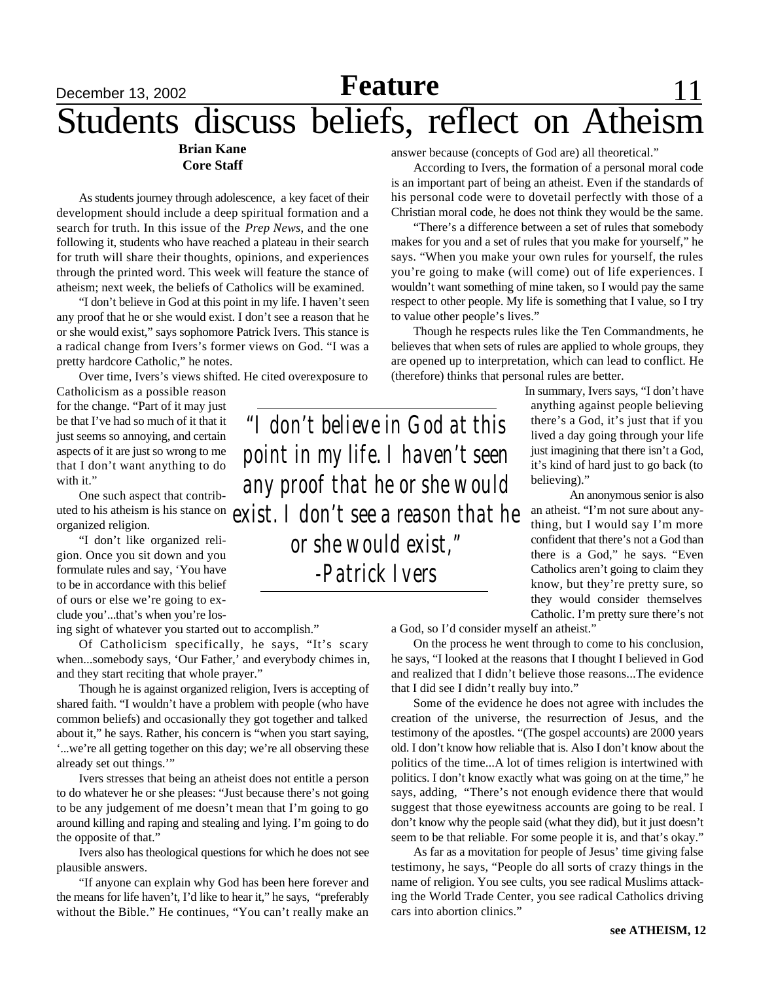## December 13, 2002 **Feature News** 11 Students discuss beliefs, reflect on Atheism

#### **Brian Kane Core Staff**

As students journey through adolescence, a key facet of their development should include a deep spiritual formation and a search for truth. In this issue of the *Prep News*, and the one following it, students who have reached a plateau in their search for truth will share their thoughts, opinions, and experiences through the printed word. This week will feature the stance of atheism; next week, the beliefs of Catholics will be examined.

"I don't believe in God at this point in my life. I haven't seen any proof that he or she would exist. I don't see a reason that he or she would exist," says sophomore Patrick Ivers. This stance is a radical change from Ivers's former views on God. "I was a pretty hardcore Catholic," he notes.

Over time, Ivers's views shifted. He cited overexposure to

Catholicism as a possible reason for the change. "Part of it may just be that I've had so much of it that it just seems so annoying, and certain aspects of it are just so wrong to me that I don't want anything to do with it."

One such aspect that contributed to his atheism is his stance on organized religion.

"I don't like organized religion. Once you sit down and you formulate rules and say, 'You have to be in accordance with this belief of ours or else we're going to exclude you'...that's when you're los-

ing sight of whatever you started out to accomplish."

Of Catholicism specifically, he says, "It's scary when...somebody says, 'Our Father,' and everybody chimes in, and they start reciting that whole prayer."

Though he is against organized religion, Ivers is accepting of shared faith. "I wouldn't have a problem with people (who have common beliefs) and occasionally they got together and talked about it," he says. Rather, his concern is "when you start saying, '...we're all getting together on this day; we're all observing these already set out things.'"

Ivers stresses that being an atheist does not entitle a person to do whatever he or she pleases: "Just because there's not going to be any judgement of me doesn't mean that I'm going to go around killing and raping and stealing and lying. I'm going to do the opposite of that."

Ivers also has theological questions for which he does not see plausible answers.

"If anyone can explain why God has been here forever and the means for life haven't, I'd like to hear it," he says, "preferably without the Bible." He continues, "You can't really make an

answer because (concepts of God are) all theoretical."

According to Ivers, the formation of a personal moral code is an important part of being an atheist. Even if the standards of his personal code were to dovetail perfectly with those of a Christian moral code, he does not think they would be the same.

"There's a difference between a set of rules that somebody makes for you and a set of rules that you make for yourself," he says. "When you make your own rules for yourself, the rules you're going to make (will come) out of life experiences. I wouldn't want something of mine taken, so I would pay the same respect to other people. My life is something that I value, so I try to value other people's lives."

Though he respects rules like the Ten Commandments, he believes that when sets of rules are applied to whole groups, they are opened up to interpretation, which can lead to conflict. He (therefore) thinks that personal rules are better.

*"I don't believe in God at this point in my life. I haven't seen any proof that he or she would exist. I don't see a reason that he or she would exist," -Patrick Ivers*

In summary, Ivers says, "I don't have anything against people believing there's a God, it's just that if you lived a day going through your life just imagining that there isn't a God, it's kind of hard just to go back (to believing)."

An anonymous senior is also an atheist. "I'm not sure about anything, but I would say I'm more confident that there's not a God than there is a God," he says. "Even Catholics aren't going to claim they know, but they're pretty sure, so they would consider themselves Catholic. I'm pretty sure there's not

a God, so I'd consider myself an atheist."

On the process he went through to come to his conclusion, he says, "I looked at the reasons that I thought I believed in God and realized that I didn't believe those reasons...The evidence that I did see I didn't really buy into."

Some of the evidence he does not agree with includes the creation of the universe, the resurrection of Jesus, and the testimony of the apostles. "(The gospel accounts) are 2000 years old. I don't know how reliable that is. Also I don't know about the politics of the time...A lot of times religion is intertwined with politics. I don't know exactly what was going on at the time," he says, adding, "There's not enough evidence there that would suggest that those eyewitness accounts are going to be real. I don't know why the people said (what they did), but it just doesn't seem to be that reliable. For some people it is, and that's okay."

As far as a movitation for people of Jesus' time giving false testimony, he says, "People do all sorts of crazy things in the name of religion. You see cults, you see radical Muslims attacking the World Trade Center, you see radical Catholics driving cars into abortion clinics."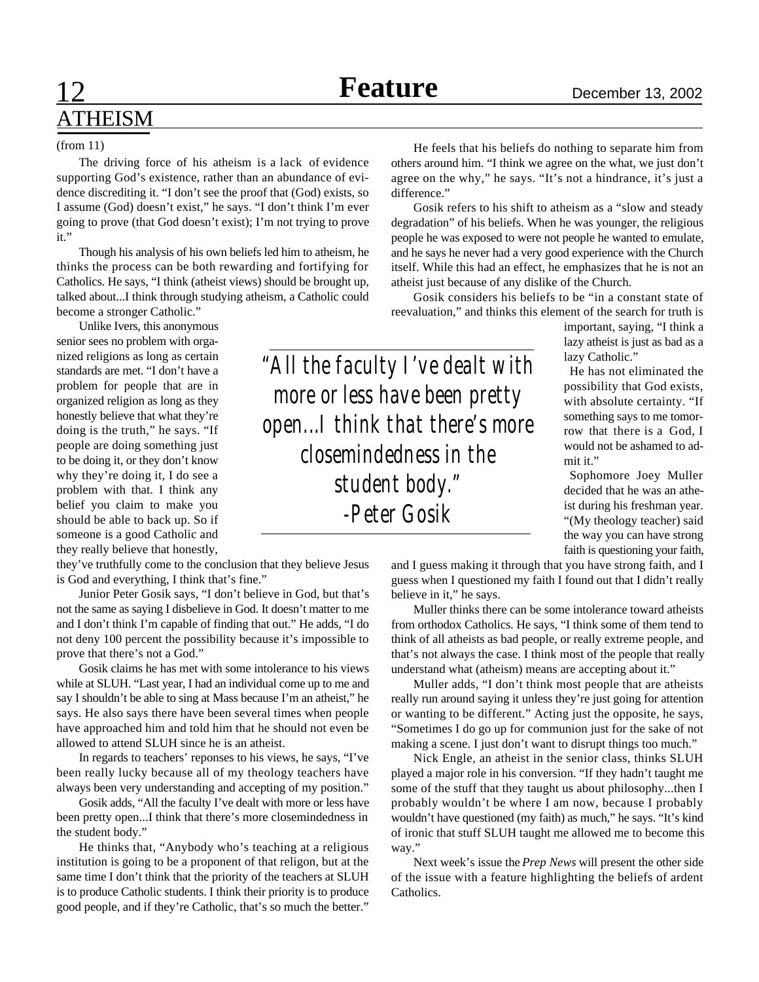*-Peter Gosik*

# **ATHEISM**

#### (from 11)

The driving force of his atheism is a lack of evidence supporting God's existence, rather than an abundance of evidence discrediting it. "I don't see the proof that (God) exists, so I assume (God) doesn't exist," he says. "I don't think I'm ever going to prove (that God doesn't exist); I'm not trying to prove it."

Though his analysis of his own beliefs led him to atheism, he thinks the process can be both rewarding and fortifying for Catholics. He says, "I think (atheist views) should be brought up, talked about...I think through studying atheism, a Catholic could become a stronger Catholic."

Unlike Ivers, this anonymous senior sees no problem with organized religions as long as certain standards are met. "I don't have a problem for people that are in organized religion as long as they honestly believe that what they're doing is the truth," he says. "If people are doing something just to be doing it, or they don't know why they're doing it, I do see a problem with that. I think any belief you claim to make you should be able to back up. So if someone is a good Catholic and they really believe that honestly,

they've truthfully come to the conclusion that they believe Jesus is God and everything, I think that's fine."

Junior Peter Gosik says, "I don't believe in God, but that's not the same as saying I disbelieve in God. It doesn't matter to me and I don't think I'm capable of finding that out." He adds, "I do not deny 100 percent the possibility because it's impossible to prove that there's not a God."

Gosik claims he has met with some intolerance to his views while at SLUH. "Last year, I had an individual come up to me and say I shouldn't be able to sing at Mass because I'm an atheist," he says. He also says there have been several times when people have approached him and told him that he should not even be allowed to attend SLUH since he is an atheist.

In regards to teachers' reponses to his views, he says, "I've been really lucky because all of my theology teachers have always been very understanding and accepting of my position."

Gosik adds, "All the faculty I've dealt with more or less have been pretty open...I think that there's more closemindedness in the student body."

He thinks that, "Anybody who's teaching at a religious institution is going to be a proponent of that religon, but at the same time I don't think that the priority of the teachers at SLUH is to produce Catholic students. I think their priority is to produce good people, and if they're Catholic, that's so much the better."

He feels that his beliefs do nothing to separate him from others around him. "I think we agree on the what, we just don't agree on the why," he says. "It's not a hindrance, it's just a difference."

Gosik refers to his shift to atheism as a "slow and steady degradation" of his beliefs. When he was younger, the religious people he was exposed to were not people he wanted to emulate, and he says he never had a very good experience with the Church itself. While this had an effect, he emphasizes that he is not an atheist just because of any dislike of the Church.

Gosik considers his beliefs to be "in a constant state of reevaluation," and thinks this element of the search for truth is

> important, saying, "I think a lazy atheist is just as bad as a lazy Catholic."

He has not eliminated the possibility that God exists, with absolute certainty. "If something says to me tomorrow that there is a God, I would not be ashamed to admit it." *"All the faculty I've dealt with more or less have been pretty open...I think that there's more closemindedness in the student body."*

Sophomore Joey Muller decided that he was an atheist during his freshman year. "(My theology teacher) said the way you can have strong faith is questioning your faith,

and I guess making it through that you have strong faith, and I guess when I questioned my faith I found out that I didn't really believe in it," he says.

Muller thinks there can be some intolerance toward atheists from orthodox Catholics. He says, "I think some of them tend to think of all atheists as bad people, or really extreme people, and that's not always the case. I think most of the people that really understand what (atheism) means are accepting about it."

Muller adds, "I don't think most people that are atheists really run around saying it unless they're just going for attention or wanting to be different." Acting just the opposite, he says, "Sometimes I do go up for communion just for the sake of not making a scene. I just don't want to disrupt things too much."

Nick Engle, an atheist in the senior class, thinks SLUH played a major role in his conversion. "If they hadn't taught me some of the stuff that they taught us about philosophy...then I probably wouldn't be where I am now, because I probably wouldn't have questioned (my faith) as much," he says. "It's kind of ironic that stuff SLUH taught me allowed me to become this way."

Next week's issue the *Prep News* will present the other side of the issue with a feature highlighting the beliefs of ardent Catholics.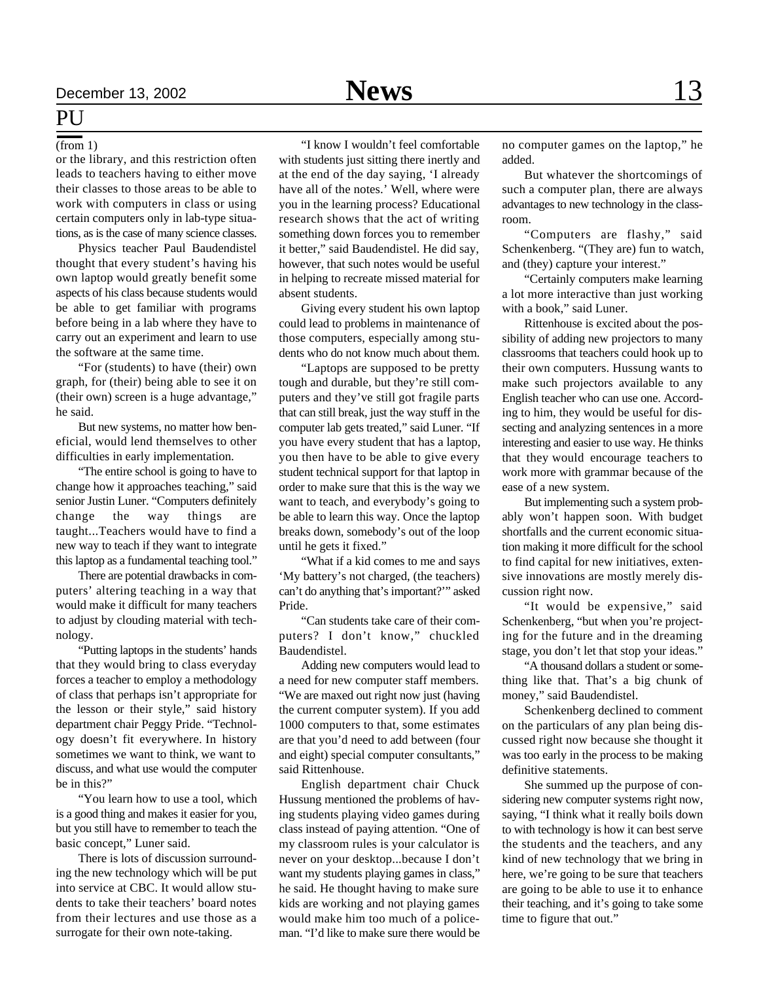### **PU**

#### (from 1)

or the library, and this restriction often leads to teachers having to either move their classes to those areas to be able to work with computers in class or using certain computers only in lab-type situations, as is the case of many science classes.

Physics teacher Paul Baudendistel thought that every student's having his own laptop would greatly benefit some aspects of his class because students would be able to get familiar with programs before being in a lab where they have to carry out an experiment and learn to use the software at the same time.

"For (students) to have (their) own graph, for (their) being able to see it on (their own) screen is a huge advantage," he said.

But new systems, no matter how beneficial, would lend themselves to other difficulties in early implementation.

"The entire school is going to have to change how it approaches teaching," said senior Justin Luner. "Computers definitely change the way things are taught...Teachers would have to find a new way to teach if they want to integrate this laptop as a fundamental teaching tool."

There are potential drawbacks in computers' altering teaching in a way that would make it difficult for many teachers to adjust by clouding material with technology.

"Putting laptops in the students' hands that they would bring to class everyday forces a teacher to employ a methodology of class that perhaps isn't appropriate for the lesson or their style," said history department chair Peggy Pride. "Technology doesn't fit everywhere. In history sometimes we want to think, we want to discuss, and what use would the computer be in this?"

"You learn how to use a tool, which is a good thing and makes it easier for you, but you still have to remember to teach the basic concept," Luner said.

There is lots of discussion surrounding the new technology which will be put into service at CBC. It would allow students to take their teachers' board notes from their lectures and use those as a surrogate for their own note-taking.

"I know I wouldn't feel comfortable with students just sitting there inertly and at the end of the day saying, 'I already have all of the notes.' Well, where were you in the learning process? Educational research shows that the act of writing something down forces you to remember it better," said Baudendistel. He did say, however, that such notes would be useful in helping to recreate missed material for absent students.

Giving every student his own laptop could lead to problems in maintenance of those computers, especially among students who do not know much about them.

"Laptops are supposed to be pretty tough and durable, but they're still computers and they've still got fragile parts that can still break, just the way stuff in the computer lab gets treated," said Luner. "If you have every student that has a laptop, you then have to be able to give every student technical support for that laptop in order to make sure that this is the way we want to teach, and everybody's going to be able to learn this way. Once the laptop breaks down, somebody's out of the loop until he gets it fixed."

"What if a kid comes to me and says 'My battery's not charged, (the teachers) can't do anything that's important?'" asked Pride.

"Can students take care of their computers? I don't know," chuckled Baudendistel.

Adding new computers would lead to a need for new computer staff members. "We are maxed out right now just (having the current computer system). If you add 1000 computers to that, some estimates are that you'd need to add between (four and eight) special computer consultants," said Rittenhouse.

English department chair Chuck Hussung mentioned the problems of having students playing video games during class instead of paying attention. "One of my classroom rules is your calculator is never on your desktop...because I don't want my students playing games in class," he said. He thought having to make sure kids are working and not playing games would make him too much of a policeman. "I'd like to make sure there would be

no computer games on the laptop," he added.

But whatever the shortcomings of such a computer plan, there are always advantages to new technology in the classroom.

"Computers are flashy," said Schenkenberg. "(They are) fun to watch, and (they) capture your interest."

"Certainly computers make learning a lot more interactive than just working with a book," said Luner.

Rittenhouse is excited about the possibility of adding new projectors to many classrooms that teachers could hook up to their own computers. Hussung wants to make such projectors available to any English teacher who can use one. According to him, they would be useful for dissecting and analyzing sentences in a more interesting and easier to use way. He thinks that they would encourage teachers to work more with grammar because of the ease of a new system.

But implementing such a system probably won't happen soon. With budget shortfalls and the current economic situation making it more difficult for the school to find capital for new initiatives, extensive innovations are mostly merely discussion right now.

"It would be expensive," said Schenkenberg, "but when you're projecting for the future and in the dreaming stage, you don't let that stop your ideas."

"A thousand dollars a student or something like that. That's a big chunk of money," said Baudendistel.

Schenkenberg declined to comment on the particulars of any plan being discussed right now because she thought it was too early in the process to be making definitive statements.

She summed up the purpose of considering new computer systems right now, saying, "I think what it really boils down to with technology is how it can best serve the students and the teachers, and any kind of new technology that we bring in here, we're going to be sure that teachers are going to be able to use it to enhance their teaching, and it's going to take some time to figure that out."